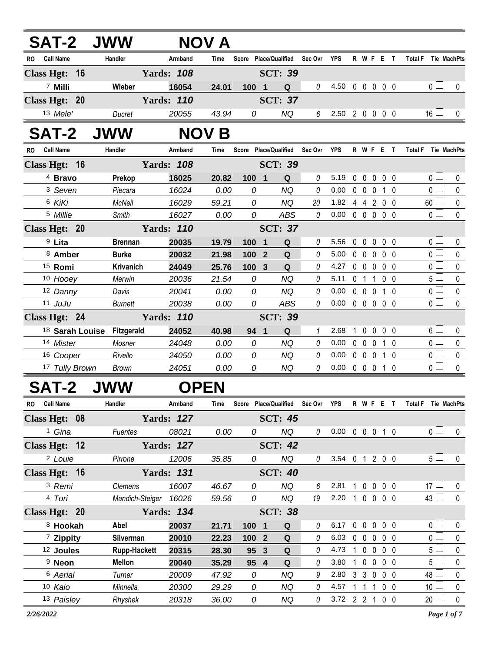| <b>SAT-2 JWW</b><br><b>NOV A</b> |                    |                                       |                   |              |                |                                   |          |                            |                |                           |                   |                |                               |              |
|----------------------------------|--------------------|---------------------------------------|-------------------|--------------|----------------|-----------------------------------|----------|----------------------------|----------------|---------------------------|-------------------|----------------|-------------------------------|--------------|
| RO                               | <b>Call Name</b>   | Handler                               | Armband           | <b>Time</b>  |                | Score Place/Qualified Sec Ovr     |          | <b>YPS</b>                 |                | R W F E T                 |                   |                | <b>Total F</b><br>Tie MachPts |              |
|                                  | Class Hgt: 16      |                                       | <b>Yards: 108</b> |              |                | <b>SCT: 39</b>                    |          |                            |                |                           |                   |                |                               |              |
|                                  | 7 Milli            | Wieber                                | 16054             | 24.01        | 100 1          | Q                                 | 0        | 4.50                       |                | 0 0 0 0 0                 |                   |                | 0 <sup>1</sup>                | $\Omega$     |
|                                  | Class Hgt: 20      |                                       | <b>Yards: 110</b> |              |                | <b>SCT: 37</b>                    |          |                            |                |                           |                   |                |                               |              |
|                                  | 13 Mele'           | Ducret                                | 20055             | 43.94        | 0              | ΝQ                                | 6        | 2.50 2 0 0 0 0             |                |                           |                   |                | $16 \Box$                     | $\mathbf{0}$ |
|                                  | <b>SAT-2</b>       | <b>JWW</b>                            |                   | <b>NOV B</b> |                |                                   |          |                            |                |                           |                   |                |                               |              |
|                                  | RO Call Name       | Handler                               | Armband           | Time         |                | Score Place/Qualified Sec Ovr YPS |          |                            |                | R W F E T                 |                   |                | Total F Tie MachPts           |              |
|                                  | Class Hgt: 16      |                                       | <b>Yards: 108</b> |              |                | <b>SCT: 39</b>                    |          |                            |                |                           |                   |                |                               |              |
|                                  | <sup>4</sup> Bravo | Prekop                                | 16025             | 20.82        | 100 1          | Q                                 | 0        | 5.19                       | $0\quad 0$     |                           | $0\quad 0\quad 0$ |                | 0 <sub>0</sub>                | 0            |
|                                  | 3 Seven            | Piecara                               | 16024             | 0.00         | 0              | ΝQ                                | $\theta$ | 0.00                       |                | $0\quad 0\quad 0$         |                   | 1 0            | 0 <sup>1</sup>                | 0            |
|                                  | 6 KiKi             | <b>McNeil</b>                         | 16029             | 59.21        | 0              | <b>NQ</b>                         | 20       | 1.82                       |                | 442                       |                   | 0 <sub>0</sub> | $60$ $\Box$                   | 0            |
|                                  | 5 Millie           | Smith                                 | 16027             | 0.00         | 0              | <b>ABS</b>                        | $\theta$ | $0.00\,$                   |                | $0\ 0\ 0\ 0\ 0$           |                   |                | $\overline{0}$                | $\mathbf{0}$ |
|                                  | Class Hgt: 20      |                                       | <b>Yards: 110</b> |              |                | <b>SCT: 37</b>                    |          |                            |                |                           |                   |                |                               |              |
|                                  | <sup>9</sup> Lita  | <b>Brennan</b>                        | 20035             | 19.79        | 100 1          | Q                                 | 0        | 5.56                       | $0\quad 0$     |                           | 0                 | $0\quad 0$     | 0 <sub>0</sub>                | 0            |
|                                  | 8 Amber            | <b>Burke</b>                          | 20032             | 21.98        | 100 2          | Q                                 | 0        | 5.00                       | $0\quad 0$     |                           | $\mathbf{0}$      | 0 <sub>0</sub> | $\overline{0}$ $\Box$         | $\mathbf 0$  |
|                                  | <sup>15</sup> Romi | <b>Krivanich</b>                      | 24049             | 25.76        | 100 3          | Q                                 | 0        | 4.27                       |                | 00000                     |                   |                | $\overline{0}$                | $\mathbf 0$  |
|                                  | 10 Hooey           | Merwin                                | 20036             | 21.54        | $\Omega$       | NQ                                | 0        | 5.11                       | 0 <sub>1</sub> |                           | $\overline{1}$    | 0 <sub>0</sub> | $5\Box$                       | $\mathbf 0$  |
|                                  | 12 Danny           | Davis                                 | 20041             | 0.00         | $\Omega$       | NQ                                | 0        | 0.00                       | $0\quad 0$     | 0                         |                   | 1 0            | $\overline{0}$                | 0            |
|                                  | 11 JuJu            | Burnett                               | 20038             | 0.00         | 0              | <b>ABS</b>                        | 0        | 0.00                       |                | 00000                     |                   |                | $\overline{0}$                | $\mathbf 0$  |
|                                  | Class Hgt: 24      |                                       | <b>Yards: 110</b> |              |                | <b>SCT: 39</b>                    |          |                            |                |                           |                   |                |                               |              |
|                                  |                    | <sup>18</sup> Sarah Louise Fitzgerald | 24052             | 40.98        | 94 1           | Q                                 | 1        | 2.68                       |                | 10                        | $\mathbf 0$       | $0\quad 0$     | $6\Box$                       | 0            |
|                                  | 14 Mister          | Mosner                                | 24048             | 0.00         | $\Omega$       | NQ                                | 0        | 0.00                       |                | $0\quad 0$<br>$\mathbf 0$ |                   | 1 0            | $\overline{0}$                | $\mathbf{0}$ |
|                                  | 16 Cooper          | Rivello                               | 24050             | 0.00         | $\Omega$       | <b>NQ</b>                         | 0        | 0.00                       | $0\quad 0$     | $\pmb{0}$                 |                   | 1 0            | $\overline{0}$                | 0            |
|                                  | 17 Tully Brown     | <b>Brown</b>                          | 24051             | 0.00         | 0              | NQ                                | $\Omega$ | 0.00                       |                | 0 0 0 1 0                 |                   |                | $\overline{0}$                | $\Omega$     |
|                                  | SAT-2              | <b>JWW</b>                            |                   | <b>OPEN</b>  |                |                                   |          |                            |                |                           |                   |                |                               |              |
| <b>RO</b>                        | <b>Call Name</b>   | Handler                               | Armband           | Time         |                | Score Place/Qualified             | Sec Ovr  | <b>YPS</b>                 |                | R W F E T                 |                   |                | <b>Total F</b><br>Tie MachPts |              |
|                                  | Class Hgt: 08      | <b>Yards: 127</b>                     |                   |              | <b>SCT: 45</b> |                                   |          |                            |                |                           |                   |                |                               |              |
|                                  | 1 Gina             | Fuentes                               | 08021             | 0.00         | $\Omega$       | <b>NQ</b>                         | 0        | $0.00 \t0 \t0 \t0 \t1 \t0$ |                |                           |                   |                | $\Omega$                      | 0            |
|                                  | Class Hgt: 12      |                                       | <b>Yards: 127</b> |              |                | <b>SCT: 42</b>                    |          |                            |                |                           |                   |                |                               |              |

| <sup>2</sup> Louie   | Pirrone             | 12006             | 35.85 | 0                | ΝQ             | 0        | 3.54 | $\mathbf{0}$   |              | 2            | $0\quad 0$ | 5 <sub>1</sub>  |  |
|----------------------|---------------------|-------------------|-------|------------------|----------------|----------|------|----------------|--------------|--------------|------------|-----------------|--|
| Class Hgt: 16        |                     | <b>Yards: 131</b> |       |                  | <b>SCT: 40</b> |          |      |                |              |              |            |                 |  |
| <sup>3</sup> Remi    | Clemens             | 16007             | 46.67 | 0                | NQ             | 6        | 2.81 |                | $\Omega$     | $\mathbf{0}$ | $0\quad 0$ | 17 <sup>1</sup> |  |
| 4 Tori               | Mandich-Steiger     | 16026             | 59.56 | 0                | ΝQ             | 19       | 2.20 |                | $\mathbf{0}$ | $\mathbf{0}$ | $0\quad 0$ | $43 \perp$      |  |
| Class Hgt: 20        |                     | <b>Yards: 134</b> |       |                  | <b>SCT: 38</b> |          |      |                |              |              |            |                 |  |
| 8 Hookah             | Abel                | 20037             | 21.71 | 1001             | Q              | 0        | 6.17 | $\Omega$       | $\Omega$     | $\Omega$     | $0\quad 0$ | $\cap$ $\Box$   |  |
| <sup>7</sup> Zippity | Silverman           | 20010             | 22.23 | 100 <sub>2</sub> | Q              | 0        | 6.03 | $\Omega$       | $\Omega$     | $\Omega$     | $0\quad 0$ | 0 <sub>l</sub>  |  |
| <sup>12</sup> Joules | <b>Rupp-Hackett</b> | 20315             | 28.30 | 95 3             | Q              | 0        | 4.73 |                | $\Omega$     | $\Omega$     | $0\quad 0$ | $5 -$           |  |
| <sup>9</sup> Neon    | <b>Mellon</b>       | 20040             | 35.29 | 95 4             | Q              | 0        | 3.80 |                | $\Omega$     | $\Omega$     | $0\quad 0$ | 5 <sub>1</sub>  |  |
| 6 Aerial             | Turner              | 20009             | 47.92 | 0                | ΝQ             | 9        | 2.80 | 3              | 3            | $\Omega$     | $0\quad 0$ | 48 $\Box$       |  |
| 10 Kaio              | Minnella            | 20300             | 29.29 | 0                | ΝQ             | 0        | 4.57 |                |              |              | $0\quad 0$ | 10 $\Box$       |  |
| 13 Paisley           | Rhyshek             | 20318             | 36.00 | 0                | NQ             | $\Omega$ | 3.72 | $\overline{2}$ | -2           |              | $0\quad 0$ | 20 <sub>2</sub> |  |
|                      |                     |                   |       |                  |                |          |      |                |              |              |            |                 |  |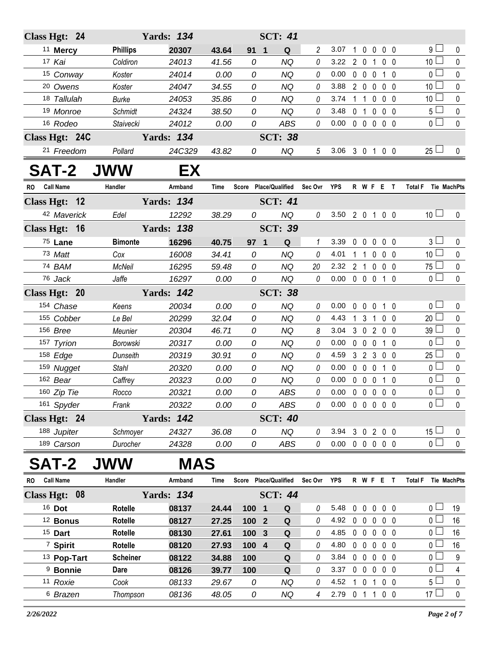| <b>Yards: 134</b><br>Class Hgt: 24 |                 |                   |       |       | <b>SCT: 41</b>        |                |                            |              |                                 |              |            |                                      |             |
|------------------------------------|-----------------|-------------------|-------|-------|-----------------------|----------------|----------------------------|--------------|---------------------------------|--------------|------------|--------------------------------------|-------------|
| <sup>11</sup> Mercy                | <b>Phillips</b> | 20307             | 43.64 | 91    | $\mathbf{1}$<br>Q     | 2              | 3.07                       |              | 1 0 0 0 0                       |              |            | g l                                  | 0           |
| 17 Kai                             | Coldiron        | 24013             | 41.56 | 0     | <b>NQ</b>             | 0              | 3.22 2 0 1 0 0             |              |                                 |              |            | 10 <sup>1</sup>                      | $\mathbf 0$ |
| 15 Conway                          | Koster          | 24014             | 0.00  | 0     | NQ                    | 0              | 0.00                       |              | 0 0 0 1 0                       |              |            | 0 l                                  | 0           |
| 20 Owens                           | Koster          | 24047             | 34.55 | 0     | <b>NQ</b>             | 0              | 3.88                       |              | 2 0 0 0 0                       |              |            | 10 <sup>1</sup>                      | $\pmb{0}$   |
| 18 Tallulah                        | <b>Burke</b>    | 24053             | 35.86 | 0     | <b>NQ</b>             | 0              | 3.74                       |              | 1 1 0 0 0                       |              |            | 10 <sup>1</sup>                      | 0           |
| 19 Monroe                          | Schmidt         | 24324             | 38.50 | 0     | <b>NQ</b>             | 0              | 3.48                       |              | 0 1 0 0 0                       |              |            | 5 <sub>1</sub>                       | $\pmb{0}$   |
| 16 Rodeo                           | Staivecki       | 24012             | 0.00  | 0     | <b>ABS</b>            | 0              | $0.00 \t0 \t0 \t0 \t0 \t0$ |              |                                 |              |            | 0 L                                  | $\pmb{0}$   |
| Class Hgt: 24C                     |                 | <b>Yards: 134</b> |       |       | <b>SCT: 38</b>        |                |                            |              |                                 |              |            |                                      |             |
| 21 Freedom                         | Pollard         | 24C329            | 43.82 | 0     | NQ                    | 5 <sup>5</sup> | 3.06 3 0 1 0 0             |              |                                 |              |            | $25 \Box$                            | $\mathbf 0$ |
| <b>SAT-2</b>                       | <b>JWW</b>      | EХ                |       |       |                       |                |                            |              |                                 |              |            |                                      |             |
| RO Call Name                       | Handler         | Armband           | Time  |       | Score Place/Qualified | Sec Ovr YPS    |                            |              | R W F E T                       |              |            | Total F Tie MachPts                  |             |
| Class Hgt: 12                      |                 | <b>Yards: 134</b> |       |       | <b>SCT: 41</b>        |                |                            |              |                                 |              |            |                                      |             |
| 42 Maverick                        | Edel            | 12292             | 38.29 | 0     | <b>NQ</b>             | 0              | 3.50 2 0 1 0 0             |              |                                 |              |            | 10 <sup>1</sup>                      | $\mathbf 0$ |
| Class Hgt: 16                      |                 | <b>Yards: 138</b> |       |       | <b>SCT: 39</b>        |                |                            |              |                                 |              |            |                                      |             |
| 75 Lane                            | <b>Bimonte</b>  | 16296             | 40.75 | 97 1  | Q                     | 1              | 3.39                       |              | $00000$                         |              |            | 3 <sup>L</sup>                       | 0           |
| 73 Matt                            | Cox             | 16008             | 34.41 | 0     | <b>NQ</b>             | 0              | 4.01                       |              | 1 1 0 0 0                       |              |            | 10 <sup>1</sup>                      | $\pmb{0}$   |
| 74 BAM                             | McNeil          | 16295             | 59.48 | 0     | <b>NQ</b>             | 20             | 2.32 2 1 0 0 0             |              |                                 |              |            | 75 l                                 | 0           |
| 76 Jack                            | Jaffe           | 16297             | 0.00  | 0     | <b>NQ</b>             | 0              | $0.00 \t0 \t0 \t0 \t1 \t0$ |              |                                 |              |            | 0 <sup>1</sup>                       | $\mathbf 0$ |
| Class Hgt: 20                      |                 | <b>Yards: 142</b> |       |       | <b>SCT: 38</b>        |                |                            |              |                                 |              |            |                                      |             |
| 154 Chase                          | Keens           | 20034             | 0.00  | 0     | <b>NQ</b>             | 0              | 0.00                       |              | 0 0 0 1 0                       |              |            | 0 <sub>1</sub>                       | 0           |
| 155 Cobber                         | Le Bel          | 20299             | 32.04 | 0     | <b>NQ</b>             | 0              | 4.43                       |              | 1 3 1 0 0                       |              |            | $20 \Box$                            | $\mathbf 0$ |
| 156 Bree                           | Meunier         | 20304             | 46.71 | 0     | NQ                    | 8              | 3.04                       |              | 3 0 2 0 0                       |              |            | 39 L                                 | 0           |
| 157 Tyrion                         | Borowski        | 20317             | 0.00  | 0     | <b>NQ</b>             | 0              | 0.00                       |              | 0 0 0 1 0                       |              |            | 0 <sub>0</sub>                       | $\pmb{0}$   |
| 158 Edge                           | Dunseith        | 20319             | 30.91 | 0     | <b>NQ</b>             | 0              | 4.59                       |              | 3 2 3 0 0                       |              |            | 25 <sup>1</sup>                      | 0           |
| 159 Nugget                         | Stahl           | 20320             | 0.00  | 0     | <b>NQ</b>             | 0              | 0.00                       |              | 0 0 0 1 0                       |              |            | 0 <sub>0</sub>                       | $\pmb{0}$   |
| 162 Bear                           | Caffrey         | 20323             | 0.00  | 0     | <b>NQ</b>             | 0              | 0.00                       |              | $0\quad 0\quad 0$               |              | 10         | 0 l                                  | 0           |
| 160 Zip Tie                        | Rocco           | 20321             | 0.00  | 0     | <b>ABS</b>            | $\theta$       | 0.00                       |              | $0\quad 0\quad 0\quad 0\quad 0$ |              |            | 0 <sup>1</sup>                       | $\mathbf 0$ |
| 161 Spyder                         | Frank           | 20322             | 0.00  | 0     | ABS                   | 0              | $0.00 \t0 \t0 \t0 \t0 \t0$ |              |                                 |              |            | 0 <sub>1</sub>                       | 0           |
| Class Hgt: 24                      |                 | <b>Yards: 142</b> |       |       | <b>SCT: 40</b>        |                |                            |              |                                 |              |            |                                      |             |
| 188 Jupiter                        | Schmoyer        | 24327             | 36.08 | 0     | <b>NQ</b>             | 0              | 3.94                       |              | 3 0 2 0 0                       |              |            | $15\perp$                            | 0           |
| 189 Carson                         | Durocher        | 24328             | 0.00  | 0     | <b>ABS</b>            | 0              | $0.00 \t0 \t0 \t0 \t0 \t0$ |              |                                 |              |            | 0 <sub>0</sub>                       | $\mathbf 0$ |
| SAT-2                              | <b>JWW</b>      | <b>MAS</b>        |       |       |                       |                |                            |              |                                 |              |            |                                      |             |
| <b>Call Name</b><br>RO.            | Handler         | Armband           | Time  |       | Score Place/Qualified | Sec Ovr        | <b>YPS</b>                 |              | R W F E T                       |              |            | <b>Total F</b><br><b>Tie MachPts</b> |             |
| Class Hgt: 08                      |                 | <b>Yards: 134</b> |       |       | <b>SCT: 44</b>        |                |                            |              |                                 |              |            |                                      |             |
| 16 Dot                             | Rotelle         | 08137             | 24.44 | 100 1 | Q                     | 0              | 5.48                       |              | 00000                           |              |            | 0 I                                  | 19          |
| <sup>12</sup> Bonus                | Rotelle         | 08127             | 27.25 | 100 2 | Q                     | 0              | 4.92                       |              | $0\quad 0\quad 0$               |              | $0\quad 0$ | 0 <sup>L</sup>                       | 16          |
| <sup>15</sup> Dart                 | Rotelle         | 08130             | 27.61 | 100 3 | Q                     | 0              | 4.85                       |              | 00000                           |              |            | 0 l                                  | 16          |
| <sup>7</sup> Spirit                | Rotelle         | 08120             | 27.93 | 100 4 | Q                     | 0              | 4.80                       |              | 00000                           |              |            | 0 L                                  | 16          |
| 13 Pop-Tart                        | <b>Scheiner</b> | 08122             | 34.88 | 100   | Q                     | 0              | 3.84                       |              | $0\quad 0\quad 0$               |              | $0\quad 0$ | 0 I                                  | 9           |
| <sup>9</sup> Bonnie                | Dare            | 08126             | 39.77 | 100   | Q                     | 0              | 3.37                       |              | $0\quad 0\quad 0$               |              | $0\quad 0$ | 0 l                                  | 4           |
| 11 Roxie                           | Cook            | 08133             | 29.67 | 0     | <b>NQ</b>             | 0              | 4.52                       | $\mathbf{1}$ | 0                               | $\mathbf{1}$ | $0\quad 0$ | ا 5                                  | 0           |
| 6 Brazen                           | Thompson        | 08136             | 48.05 | 0     | NQ                    | 4              | 2.79 0 1 1                 |              |                                 |              | $0\quad 0$ | $17 -$                               | $\pmb{0}$   |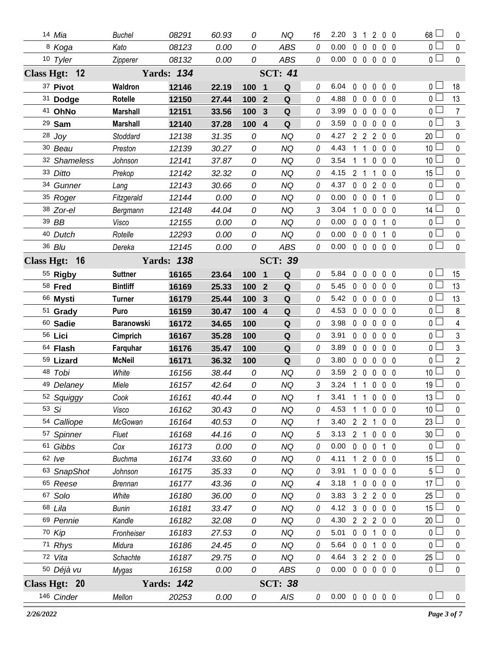| 14 Mia              | <b>Buchel</b>     | 08291             | 60.93 | 0                     | ΝQ             | 16           | 2.20                       | 3              | 1              |                     | 200               | 68              | 0              |
|---------------------|-------------------|-------------------|-------|-----------------------|----------------|--------------|----------------------------|----------------|----------------|---------------------|-------------------|-----------------|----------------|
| 8 Koga              | Kato              | 08123             | 0.00  | 0                     | <b>ABS</b>     | 0            | 0.00                       | $\Omega$       | $\mathbf 0$    | $\mathbf{0}$        | 0 <sub>0</sub>    | 0 <sup>1</sup>  | $\mathbf 0$    |
| 10 Tyler            | Zipperer          | 08132             | 0.00  | 0                     | <b>ABS</b>     | 0            | 0.00                       |                | $0\quad 0$     |                     | $0\quad 0\quad 0$ | 0 <sub>0</sub>  | $\mathbf 0$    |
| Class Hgt: 12       |                   | <b>Yards: 134</b> |       |                       | <b>SCT: 41</b> |              |                            |                |                |                     |                   |                 |                |
| 37 Pivot            | Waldron           | 12146             | 22.19 | 100 1                 | Q              | 0            | 6.04                       | $\mathbf{0}$   | $\mathbf 0$    | 0                   | $0\quad 0$        | 0 <sub>0</sub>  | 18             |
| 31 Dodge            | Rotelle           | 12150             | 27.44 | 100<br>$\overline{2}$ | Q              | 0            | 4.88                       |                | $0\quad 0$     | $\mathbf{0}$        | 0 <sub>0</sub>    | 0 L             | 13             |
| 41 OhNo             | <b>Marshall</b>   | 12151             | 33.56 | 100<br>3              | Q              | 0            | 3.99                       |                | $0\quad 0$     | 0                   | 0 <sub>0</sub>    | 0 <sup>1</sup>  | 7              |
| $29$ Sam            | <b>Marshall</b>   | 12140             | 37.28 | 100 4                 | Q              | 0            | 3.59                       |                | $0\quad 0$     | $\mathbf{0}$        | 0 <sub>0</sub>    | 0 <sub>l</sub>  | 3              |
| $28$ Joy            | Stoddard          | 12138             | 31.35 | 0                     | <b>NQ</b>      | 0            | 4.27                       |                | 2 <sub>2</sub> | $\overline{2}$      | 0 <sub>0</sub>    | 20              | $\mathbf 0$    |
| 30 Beau             | Preston           | 12139             | 30.27 | 0                     | <b>NQ</b>      | 0            | 4.43                       |                | $1\quad1$      | 0                   | $0\quad 0$        | 10 <sup>°</sup> | 0              |
| 32 Shameless        | Johnson           | 12141             | 37.87 | 0                     | <b>NQ</b>      | 0            | 3.54                       |                | $1\quad1$      | 0                   | 0 <sub>0</sub>    | 10              | 0              |
| 33 Ditto            | Prekop            | 12142             | 32.32 | 0                     | <b>NQ</b>      | 0            | 4.15                       | 2 <sub>1</sub> |                | 1                   | 0 <sub>0</sub>    | 15 <sup>L</sup> | 0              |
| 34 Gunner           | Lang              | 12143             | 30.66 | 0                     | <b>NQ</b>      | 0            | 4.37                       | $\mathbf 0$    | $\mathbf 0$    | $\overline{2}$      | $0\quad 0$        | 0 <sub>0</sub>  | 0              |
| 35 Roger            | Fitzgerald        | 12144             | 0.00  | 0                     | <b>NQ</b>      | 0            | 0.00                       |                | $0\quad 0$     | 0                   | 10                | $\Omega$        | 0              |
| 38 Zor-el           | Bergmann          | 12148             | 44.04 | 0                     | <b>NQ</b>      | 3            | 3.04                       | $\mathbf{1}$   | $\mathbf 0$    | 0                   | $0\quad 0$        | 14 <sup>1</sup> | 0              |
| 39 BB               | Visco             | 12155             | 0.00  | 0                     | NQ             | 0            | 0.00                       |                | 0 <sub>0</sub> | $\mathbf{0}$        | 1 0               | 0 <sub>1</sub>  | $\mathbf{0}$   |
| 40 Dutch            | Rotelle           | 12293             | 0.00  | 0                     | <b>NQ</b>      | 0            | 0.00                       |                | $0\quad 0$     | $\mathbf 0$         | $1\quad 0$        | 0 <sub>0</sub>  | $\pmb{0}$      |
| 36 Blu              | Dereka            | 12145             | 0.00  | 0                     | <b>ABS</b>     | 0            | 0.00                       |                |                |                     | 00000             | $\overline{0}$  | $\mathbf 0$    |
| Class Hgt: 16       |                   | <b>Yards: 138</b> |       |                       | <b>SCT: 39</b> |              |                            |                |                |                     |                   |                 |                |
| 55 Rigby            | <b>Suttner</b>    | 16165             | 23.64 | 100 1                 | Q              | 0            | 5.84                       | 0              | $\mathbf 0$    | $\mathbf 0$         | $0\quad 0$        | 0 <sub>0</sub>  | 15             |
| 58 Fred             | <b>Bintliff</b>   | 16169             | 25.33 | 100<br>$\overline{2}$ | Q              | 0            | 5.45                       | 0              | $\mathbf 0$    | 0                   | 0 <sub>0</sub>    | 0 <sub>0</sub>  | 13             |
| 66 Mysti            | <b>Turner</b>     | 16179             | 25.44 | $\mathbf{3}$<br>100   | Q              | 0            | 5.42                       | $\mathbf 0$    | $\mathbf 0$    | 0                   | 0 <sub>0</sub>    | 0 <sup>1</sup>  | 13             |
| 51 Grady            | Puro              | 16159             | 30.47 | 100 4                 | Q              | 0            | 4.53                       | $\mathbf 0$    | $\overline{0}$ | $\mathbf{0}$        | $0\quad 0$        | 0 <sub>l</sub>  | 8              |
| 60 Sadie            | <b>Baranowski</b> | 16172             | 34.65 | 100                   | Q              | 0            | 3.98                       | $\mathbf 0$    | $\mathbf 0$    | $\mathbf 0$         | 0 <sub>0</sub>    | 0 <sub>1</sub>  | $\overline{4}$ |
| 56 Lici             | Cimprich          | 16167             | 35.28 | 100                   | $\mathbf Q$    | 0            | 3.91                       |                | $0\quad 0$     | 0                   | $0\quad 0$        | 0 <sub>0</sub>  | 3              |
| 64 Flash            | Farquhar          | 16176             | 35.47 | 100                   | Q              | 0            | 3.89                       |                | $0\quad 0$     | $\mathbf 0$         | 0 <sub>0</sub>    | 0 l             | 3              |
| 59 Lizard           | <b>McNeil</b>     | 16171             | 36.32 | 100                   | Q              | 0            | 3.80                       |                | $0\quad 0$     | $\mathbf{0}$        | $0\quad 0$        | $\mathbf{0}$    | $\overline{2}$ |
| 48 Tobi             | White             | 16156             | 38.44 | 0                     | <b>NQ</b>      | 0            | 3.59                       |                | $2\quad 0$     | $\mathbf 0$         | $0\quad 0$        | 10              | $\pmb{0}$      |
| 49 Delaney          | Miele             | 16157             | 42.64 | 0                     | <b>NQ</b>      | 3            | 3.24                       |                | $1\quad1$      | $\mathbf 0$         | $0\quad 0$        | 19              | $\pmb{0}$      |
| 52 Squiggy          | Cook              | 16161             | 40.44 | 0                     | <b>NQ</b>      | $\mathbf{1}$ | 3.41 1 1 0 0 0             |                |                |                     |                   | 13 <sup>1</sup> | 0              |
| $53 \text{ } Si$    | Visco             | 16162             | 30.43 | 0                     | <b>NQ</b>      | 0            | 4.53                       |                |                |                     | 1 1 0 0 0         | $10$ $\Box$     | 0              |
| 54 Calliope         | McGowan           | 16164             | 40.53 | 0                     | <b>NQ</b>      | 1            | 3.40                       | $2 \t2 \t1$    |                |                     | 0 <sub>0</sub>    | 23              | $\mathbf{0}$   |
| 57 Spinner          | Fluet             | 16168             | 44.16 | 0                     | <b>NQ</b>      | 5            | 3.13                       |                |                |                     | 2 1 0 0 0         | 30 <sup>1</sup> | 0              |
| 61 Gibbs            | Cox               | 16173             | 0.00  | 0                     | <b>NQ</b>      | 0            | 0.00                       |                | $0\quad 0$     | $\mathbf 0$         | 1 0               | 0 <sup>1</sup>  | 0              |
| $62$ $Ive$          | <b>Buchma</b>     | 16174             | 33.60 | 0                     | <b>NQ</b>      | 0            | 4.11                       |                |                |                     | 1 2 0 0 0         | 15              | 0              |
| 63 SnapShot         | Johnson           | 16175             | 35.33 | 0                     | <b>NQ</b>      | 0            | 3.91                       |                | $1\quad0$      | $\mathbf 0$         | $0\quad 0$        | 5 <sup>1</sup>  | 0              |
| <sup>65</sup> Reese | <b>Brennan</b>    | 16177             | 43.36 | 0                     | NQ             | 4            | 3.18                       |                | $1\quad 0$     |                     | $0\quad 0\quad 0$ | 17              | 0              |
| 67 Solo             | White             | 16180             | 36.00 | 0                     | <b>NQ</b>      | 0            | 3.83                       |                |                |                     | 3 2 2 0 0         | 25              | 0              |
| 68 Lila             | <b>Bunin</b>      | 16181             | 33.47 | 0                     | <b>NQ</b>      | 0            | 4.12                       |                |                |                     | 3 0 0 0 0         | 15 <sup>1</sup> | 0              |
| 69 Pennie           | Kandle            | 16182             | 32.08 | 0                     | <b>NQ</b>      | 0            | 4.30                       |                |                | $2 \quad 2 \quad 2$ | $0\quad 0$        | 20              | 0              |
| 70 Kip              | Fronheiser        | 16183             | 27.53 | 0                     | <b>NQ</b>      | 0            | 5.01                       |                |                | $0 \t0 \t1$         | $0\quad 0$        | 0 <sub>0</sub>  | 0              |
| 71 Rhys             | Midura            | 16186             | 24.45 | 0                     | <b>NQ</b>      | 0            | 5.64                       |                | $0\quad 0$     | $\overline{1}$      | $0\quad 0$        | 0 <sub>0</sub>  | 0              |
| 72 Vita             | Schachte          | 16187             | 29.75 | 0                     | <b>NQ</b>      | 0            | 4.64                       |                |                |                     | 3 2 2 0 0         | $25 \Box$       | 0              |
| 50 Déjà vu          | Mygas             | 16158             | 0.00  | 0                     | ABS            | 0            | 0.00                       |                |                |                     | 00000             | 0 <sub>0</sub>  | $\mathbf 0$    |
| Class Hgt: 20       |                   | <b>Yards: 142</b> |       |                       | <b>SCT: 38</b> |              |                            |                |                |                     |                   |                 |                |
| 146 Cinder          | Mellon            | 20253             | 0.00  | 0                     | AIS            | 0            | $0.00 \t0 \t0 \t0 \t0 \t0$ |                |                |                     |                   | 0 <sub>0</sub>  | $\pmb{0}$      |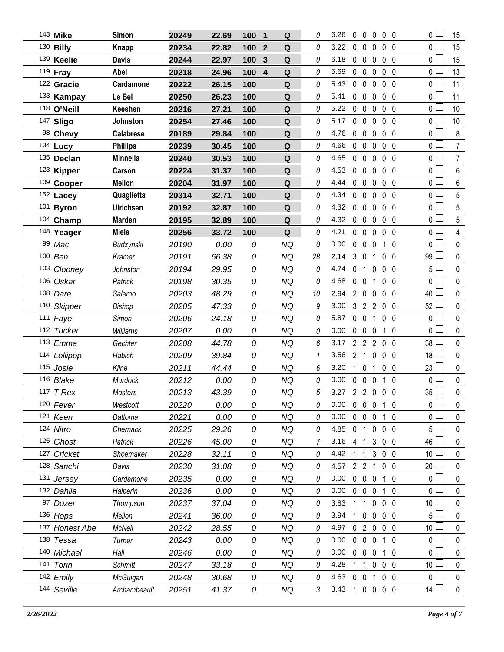| 143 Mike       | Simon            | 20249 | 22.69 | 100 | $\blacksquare$          | Q           | 0  | 6.26 | 0            | 0                   | $\theta$          | $0\quad 0$     |              | 0 <sub>1</sub>  | 15              |
|----------------|------------------|-------|-------|-----|-------------------------|-------------|----|------|--------------|---------------------|-------------------|----------------|--------------|-----------------|-----------------|
| 130 Billy      | <b>Knapp</b>     | 20234 | 22.82 | 100 | $\boldsymbol{2}$        | $\mathbf Q$ | 0  | 6.22 | $\mathbf 0$  | 0                   | 0                 | 0 <sub>0</sub> |              | 0 <sub>0</sub>  | 15              |
| 139 Keelie     | <b>Davis</b>     | 20244 | 22.97 | 100 | 3                       | Q           | 0  | 6.18 |              | $0\quad 0$          | $\mathbf 0$       | 0 <sub>0</sub> |              | 0 L             | 15              |
| 119 Fray       | Abel             | 20218 | 24.96 | 100 | $\overline{\mathbf{4}}$ | Q           | 0  | 5.69 | $\mathbf 0$  | $\mathbf 0$         | 0                 | 0 <sub>0</sub> |              | 0 <sub>0</sub>  | 13              |
| 122 Gracie     | Cardamone        | 20222 | 26.15 | 100 |                         | Q           | 0  | 5.43 | $0\quad 0$   |                     | $\mathbf 0$       | 0 <sub>0</sub> |              | 0 <sub>l</sub>  | 11              |
| 133 Kampay     | Le Bel           | 20250 | 26.23 | 100 |                         | ${\bf Q}$   | 0  | 5.41 | $\mathbf 0$  | $\mathbf 0$         | 0                 | 0 <sub>0</sub> |              | 0 <sub>l</sub>  | 11              |
| 118 O'Neill    | Keeshen          | 20216 | 27.21 | 100 |                         | $\mathbf Q$ | 0  | 5.22 | $\mathbf 0$  | $\mathbf 0$         | 0                 | 0 <sub>0</sub> |              | 0 L             | 10              |
| 147 Sligo      | Johnston         | 20254 | 27.46 | 100 |                         | Q           | 0  | 5.17 | $\mathbf 0$  | $\mathbf 0$         | 0                 | 0 <sub>0</sub> |              | 0 <sub>0</sub>  | 10              |
| 98 Chevy       | Calabrese        | 20189 | 29.84 | 100 |                         | ${\bf Q}$   | 0  | 4.76 | $\mathbf 0$  | $\mathbf 0$         | $\mathbf{0}$      | 0 <sub>0</sub> |              | 0 <sub>0</sub>  | $\bf 8$         |
| 134 Lucy       | <b>Phillips</b>  | 20239 | 30.45 | 100 |                         | ${\bf Q}$   | 0  | 4.66 | $\mathbf 0$  | $\mathbf 0$         | 0                 | $0\quad 0$     |              | 0 <sub>0</sub>  | $\overline{7}$  |
| 135 Declan     | Minnella         | 20240 | 30.53 | 100 |                         | $\mathbf Q$ | 0  | 4.65 |              | $0\quad 0$          | 0                 | 0 <sub>0</sub> |              | 0 <sub>0</sub>  | $\overline{7}$  |
| 123 Kipper     | Carson           | 20224 | 31.37 | 100 |                         | Q           | 0  | 4.53 | $\mathbf{0}$ | $\mathbf 0$         | 0                 | 0 <sub>0</sub> |              | 0 <sub>0</sub>  | 6               |
| 109 Cooper     | Mellon           | 20204 | 31.97 | 100 |                         | ${\bf Q}$   | 0  | 4.44 | $\mathbf{0}$ | $\mathbf 0$         | $\mathbf 0$       | 0 <sub>0</sub> |              | 0 <sub>0</sub>  | 6               |
| 152 Lacey      | Quaglietta       | 20314 | 32.71 | 100 |                         | ${\bf Q}$   | 0  | 4.34 | $\mathbf 0$  | $\mathbf 0$         | 0                 | $0\quad 0$     |              | 0 <sub>1</sub>  | $5\phantom{.0}$ |
| 101 Byron      | <b>Ulrichsen</b> | 20192 | 32.87 | 100 |                         | $\mathbf Q$ | 0  | 4.32 |              | $0\quad 0$          | 0                 | $0\quad 0$     |              | 0 <sub>0</sub>  | 5               |
| 104 Champ      | Marden           | 20195 | 32.89 | 100 |                         | Q           | 0  | 4.32 | $\mathbf 0$  | $\mathbf 0$         | 0                 | $0\quad 0$     |              | 0 <sub>0</sub>  | 5               |
| 148 Yeager     | <b>Miele</b>     | 20256 | 33.72 | 100 |                         | Q           | 0  | 4.21 |              | $0\quad 0$          | 0                 | $0\quad 0$     |              | 0 <sub>l</sub>  | 4               |
| 99 Mac         | Budzynski        | 20190 | 0.00  | 0   |                         | <b>NQ</b>   | 0  | 0.00 | $\mathbf 0$  | $\mathbf 0$         | 0                 | 1              | $\mathbf{0}$ | 0 <sub>0</sub>  | 0               |
| 100 Ben        | Kramer           | 20191 | 66.38 | 0   |                         | <b>NQ</b>   | 28 | 2.14 |              | 3 0                 | $\mathbf 1$       | $0\quad 0$     |              | 99              | 0               |
| 103 Clooney    | Johnston         | 20194 | 29.95 | 0   |                         | <b>NQ</b>   | 0  | 4.74 | 0            | $\mathbf{1}$        | 0                 | 0 <sub>0</sub> |              | 5 <sub>1</sub>  | 0               |
| 106 Oskar      | Patrick          | 20198 | 30.35 | 0   |                         | <b>NQ</b>   | 0  | 4.68 |              | $0\quad 0$          | 1                 | $0\quad 0$     |              | 0 L             | 0               |
| 108 Dare       | Salerno          | 20203 | 48.29 | 0   |                         | <b>NQ</b>   | 10 | 2.94 |              | $2\quad0$           | 0                 | $0\quad 0$     |              | $40\Box$        | 0               |
| 110 Skipper    | <b>Bishop</b>    | 20205 | 47.33 | 0   |                         | <b>NQ</b>   | 9  | 3.00 |              |                     | 3 2 2 0 0         |                |              | 52              | 0               |
| 111 Faye       | Simon            | 20206 | 24.18 | 0   |                         | <b>NQ</b>   | 0  | 5.87 |              | $0\quad 0$          | $\overline{1}$    | 0 <sub>0</sub> |              | 0 <sub>1</sub>  | 0               |
| 112 Tucker     | Williams         | 20207 | 0.00  | 0   |                         | <b>NQ</b>   | 0  | 0.00 | $0\quad 0$   |                     | 0                 | 10             |              | 0 L             | 0               |
| 113 Emma       | Gechter          | 20208 | 44.78 | 0   |                         | <b>NQ</b>   | 6  | 3.17 |              | 2 <sub>2</sub>      | 2 0 0             |                |              | 38 L            | 0               |
| 114 Lollipop   | Habich           | 20209 | 39.84 | 0   |                         | <b>NQ</b>   |    | 3.56 | $2^{\circ}$  | 1                   | 0                 | 0 <sub>0</sub> |              | 18              | $\pmb{0}$       |
| 115 Josie      | Kline            | 20211 | 44.44 | 0   |                         | <b>NQ</b>   | 6  | 3.20 | $\mathbf{1}$ | $\mathbf 0$         | 1                 | 0 <sub>0</sub> |              | 23 <sup>L</sup> | 0               |
| 116 Blake      | Murdock          | 20212 | 0.00  | 0   |                         | <b>NQ</b>   | 0  | 0.00 |              | $0\quad 0$          | 0                 | $1\quad0$      |              | 0 l             | 0               |
| 117 T Rex      | <b>Masters</b>   | 20213 | 43.39 | 0   |                         | <b>NQ</b>   | 5  | 3.27 |              | 2 <sub>2</sub>      | $0\quad 0\quad 0$ |                |              | $35 \perp$      | 0               |
| 120 Fever      | Westcott         | 20220 | 0.00  | 0   |                         | <b>NQ</b>   | 0  | 0.00 |              | $0\quad 0\quad 0$   |                   | 10             |              | 0 <sup>1</sup>  | 0               |
| 121 Keen       | Dattoma          | 20221 | 0.00  | 0   |                         | NQ          | 0  | 0.00 |              | $0\quad 0$          | $\mathbf 0$       | 10             |              | 0 <sup>1</sup>  | 0               |
| 124 Nitro      | Chernack         | 20225 | 29.26 | 0   |                         | NQ          | 0  | 4.85 |              | 0 <sub>1</sub>      | $0\quad 0\quad 0$ |                |              | 5 l             | 0               |
| 125 Ghost      | Patrick          | 20226 | 45.00 | 0   |                         | NQ          | 7  | 3.16 | 4 1          |                     | 3 0 0             |                |              | $46\perp$       | 0               |
| 127 Cricket    | Shoemaker        | 20228 | 32.11 | 0   |                         | NQ          | 0  | 4.42 | 1            | 1                   | 3 0 0             |                |              | 10 $\lfloor$    | 0               |
| 128 Sanchi     | Davis            | 20230 | 31.08 | 0   |                         | <b>NQ</b>   | 0  | 4.57 |              | $2 \quad 2 \quad 1$ |                   | $0\quad 0$     |              | 20              | 0               |
| 131 Jersey     | Cardamone        | 20235 | 0.00  | 0   |                         | NQ          | 0  | 0.00 |              | $0\quad 0$          | $\mathbf 0$       | 10             |              | 0 L             | 0               |
| 132 Dahlia     | Halperin         | 20236 | 0.00  | 0   |                         | NQ          | 0  | 0.00 |              | $0\quad 0$          | $\mathbf 0$       | $1\quad0$      |              | 0 <sup>1</sup>  | 0               |
| 97 Dozer       | Thompson         | 20237 | 37.04 | 0   |                         | <b>NQ</b>   | 0  | 3.83 | 1.           | $\mathbf{1}$        | $0\quad 0\quad 0$ |                |              | 10 <sup>1</sup> | 0               |
| 136 Hops       | Mellon           | 20241 | 36.00 | 0   |                         | <b>NQ</b>   | 0  | 3.94 | 1            | $\mathbf 0$         | $\mathbf 0$       | $0\quad 0$     |              | $5\perp$        | 0               |
| 137 Honest Abe | McNeil           | 20242 | 28.55 | 0   |                         | NQ          | 0  | 4.97 |              | 0 <sub>2</sub>      | $0\quad 0\quad 0$ |                |              | 10 <sup>L</sup> | 0               |
| 138 Tessa      | Turner           | 20243 | 0.00  | 0   |                         | NQ          | 0  | 0.00 | $\mathbf{0}$ | $\mathbf 0$         | $\mathbf 0$       | $1\quad0$      |              | 0 <sup>1</sup>  | 0               |
| 140 Michael    | Hall             | 20246 | 0.00  | 0   |                         | <b>NQ</b>   | 0  | 0.00 | $\mathbf{0}$ | 0                   | 0                 | 10             |              | 0 <sup>1</sup>  | 0               |
| 141 Torin      | <b>Schmitt</b>   | 20247 | 33.18 | 0   |                         | <b>NQ</b>   | 0  | 4.28 | 1            | 1                   | $0\quad 0\quad 0$ |                |              | 10 <sup>1</sup> | 0               |
| 142 Emily      | McGuigan         | 20248 | 30.68 | 0   |                         | <b>NQ</b>   | 0  | 4.63 | $\mathbf{0}$ | $\mathbf 0$         | $\overline{1}$    | $0\quad 0$     |              | 0 <sup>1</sup>  | 0               |
| 144 Seville    | Archambeault     | 20251 | 41.37 | 0   |                         | <b>NQ</b>   | 3  | 3.43 | $\mathbf{1}$ | $\mathbf 0$         | 0                 | $0\quad 0$     |              | $14 \Box$       | $\mathbf 0$     |
|                |                  |       |       |     |                         |             |    |      |              |                     |                   |                |              |                 |                 |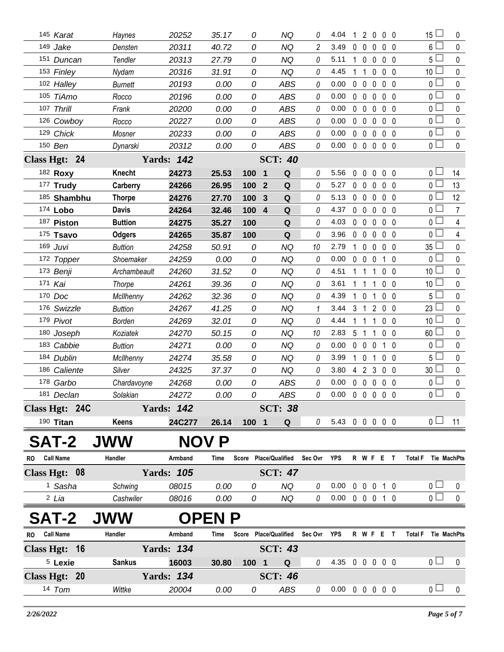|              | 145 Karat          | Haynes         | 20252             | 35.17         | 0     | ΝQ                                | 0             | 4.04                       | 1            |                | 2 0            | 0 <sub>0</sub> | 15 <sup>L</sup>     | 0              |
|--------------|--------------------|----------------|-------------------|---------------|-------|-----------------------------------|---------------|----------------------------|--------------|----------------|----------------|----------------|---------------------|----------------|
|              | 149 Jake           | Densten        | 20311             | 40.72         | 0     | <b>NQ</b>                         | 2             | 3.49                       | $\mathbf{0}$ | $\mathbf 0$    | 0              | 0 <sub>0</sub> | 6                   | 0              |
|              | 151 Duncan         | Tendler        | 20313             | 27.79         | 0     | <b>NQ</b>                         | 0             | 5.11                       | 1            | $\mathbf 0$    | 0              | 0 <sub>0</sub> | 5 I                 | $\mathbf{0}$   |
|              | 153 Finley         | Nydam          | 20316             | 31.91         | 0     | <b>NQ</b>                         | 0             | 4.45                       | 1            | $\overline{1}$ | 0              | 0 <sub>0</sub> | 10                  | 0              |
|              | 102 Halley         | <b>Burnett</b> | 20193             | 0.00          | 0     | <b>ABS</b>                        | 0             | 0.00                       | $\Omega$     | $\mathbf 0$    | $\mathbf{0}$   | 0 <sub>0</sub> | 0 L                 | 0              |
|              | 105 TiAmo          | Rocco          | 20196             | 0.00          | 0     | <b>ABS</b>                        | 0             | 0.00                       | 0            | $\mathbf 0$    | 0              | $0\quad 0$     | $\overline{0}$      | $\mathbf 0$    |
|              | 107 Thrill         | Frank          | 20200             | 0.00          | 0     | <b>ABS</b>                        | 0             | 0.00                       | $\mathbf 0$  | $\mathbf 0$    | 0              | 0 <sub>0</sub> | 0 L                 | 0              |
|              | 126 Cowboy         | Rocco          | 20227             | 0.00          | 0     | <b>ABS</b>                        | 0             | 0.00                       | $\mathbf{0}$ | $\mathbf 0$    | $\mathbf{0}$   | 0 <sub>0</sub> | 0 <sup>1</sup>      | 0              |
|              | 129 Chick          | Mosner         | 20233             | 0.00          | 0     | <b>ABS</b>                        | 0             | 0.00                       | $\Omega$     | $\mathbf 0$    | $\mathbf{0}$   | 0 <sub>0</sub> | 0 <sup>1</sup>      | 0              |
|              | 150 Ben            | Dynarski       | 20312             | 0.00          | 0     | <b>ABS</b>                        | 0             | 0.00                       | $\mathbf 0$  | $\mathbf 0$    | 0              | 0 <sub>0</sub> | $\overline{0}$      | $\mathbf 0$    |
|              | Class Hgt: 24      |                | <b>Yards: 142</b> |               |       | <b>SCT: 40</b>                    |               |                            |              |                |                |                |                     |                |
|              | 182 Roxy           | Knecht         | 24273             | 25.53         | 100   | $\overline{\mathbf{1}}$<br>Q      | 0             | 5.56                       | $\mathbf{0}$ | $\mathbf{0}$   | $\mathbf{0}$   | 0 <sub>0</sub> | 0 l                 | 14             |
|              | 177 Trudy          | Carberry       | 24266             | 26.95         | 100   | ${\bf Q}$<br>$\boldsymbol{2}$     | 0             | 5.27                       | 0            | $\mathbf 0$    | 0              | $0\quad 0$     | 0 <sub>1</sub>      | 13             |
|              | 185 Shambhu        | <b>Thorpe</b>  | 24276             | 27.70         | 100   | $\mathbf{3}$<br>$\mathbf Q$       | 0             | 5.13                       | $\mathbf{0}$ | $\mathbf 0$    | 0              | 0 <sub>0</sub> | 0 l                 | 12             |
|              | 174 Lobo           | Davis          | 24264             | 32.46         | 100 4 | Q                                 | 0             | 4.37                       | 0            | $\mathbf 0$    | 0              | 0 <sub>0</sub> | 0 <sub>0</sub>      | $\overline{7}$ |
|              | 187 Piston         | <b>Buttion</b> | 24275             | 35.27         | 100   | Q                                 | 0             | 4.03                       | $\mathbf{0}$ | $\mathbf 0$    | $\mathbf{0}$   | 0 <sub>0</sub> | $\overline{0}$      | 4              |
|              | 175 Tsavo          | <b>Odgers</b>  | 24265             | 35.87         | 100   | ${\bf Q}$                         | 0             | 3.96                       | 0            | $\mathbf 0$    | 0              | $0\quad 0$     | $\overline{0}$      | $\overline{4}$ |
|              | 169 Juvi           | <b>Buttion</b> | 24258             | 50.91         | 0     | <b>NQ</b>                         | 10            | 2.79                       | $\mathbf{1}$ | 0              | 0              | 0 <sub>0</sub> | 35                  | 0              |
|              | 172 Topper         | Shoemaker      | 24259             | 0.00          | 0     | NQ                                | 0             | 0.00                       | $\mathbf{0}$ | $\mathbf 0$    | $\mathbf{0}$   | $1\quad0$      | 0 <sup>1</sup>      | $\mathbf 0$    |
|              | 173 Benji          | Archambeault   | 24260             | 31.52         | 0     | <b>NQ</b>                         | 0             | 4.51                       | 1            | $\mathbf{1}$   | 1              | 0 <sub>0</sub> | 10                  | 0              |
|              | 171 Kai            | Thorpe         | 24261             | 39.36         | 0     | NQ                                | 0             | 3.61                       | $\mathbf{1}$ | -1             | 1              | $0\quad 0$     | 10 <sup>1</sup>     | 0              |
|              | 170 Doc            | McIlhenny      | 24262             | 32.36         | 0     | <b>NQ</b>                         | 0             | 4.39                       | $\mathbf{1}$ | $\mathbf 0$    | 1              | 0 <sub>0</sub> | 5 L                 | 0              |
|              | 176 Swizzle        | <b>Buttion</b> | 24267             | 41.25         | 0     | ΝQ                                |               | 3.44                       | 3            | 1              | $\overline{2}$ | 0 <sub>0</sub> | 23                  | $\pmb{0}$      |
|              | 179 Pivot          | <b>Borden</b>  | 24269             | 32.01         | 0     | <b>NQ</b>                         | 0             | 4.44                       | 1            | 1              | 1              | 0 <sub>0</sub> | 10                  | 0              |
|              | 180 Joseph         | Koziatek       | 24270             | 50.15         | 0     | <b>NQ</b>                         | 10            | 2.83                       | 5            | 1              | 1              | $0\quad 0$     | 60<br>$\Box$        | 0              |
|              | 183 Cabbie         | <b>Buttion</b> | 24271             | 0.00          | 0     | <b>NQ</b>                         | 0             | 0.00                       | $\mathbf{0}$ | $\overline{0}$ | 0              | $1\quad0$      | 0                   | $\mathbf 0$    |
|              | 184 Dublin         | McIlhenny      | 24274             | 35.58         | 0     | ΝQ                                | 0             | 3.99                       | $\mathbf{1}$ | $\mathbf 0$    | 1              | $0\quad 0$     | 5 ∟                 | 0              |
|              | 186 Caliente       | Silver         | 24325             | 37.37         | 0     | <b>NQ</b>                         | 0             | 3.80                       |              | 4 <sub>2</sub> | 3              | 0 <sub>0</sub> | 30                  | 0              |
|              | 178 Garbo          | Chardavoyne    | 24268             | 0.00          | 0     | <b>ABS</b>                        | 0             | 0.00                       | $\mathbf 0$  | $\mathbf 0$    | $\mathbf 0$    | 0 <sub>0</sub> | 0 <sub>0</sub>      | $\pmb{0}$      |
|              | 181 Declan         | Solakian       | 24272             | 0.00          | 0     | ABS                               | 0             | $0.00 \t0 \t0 \t0 \t0 \t0$ |              |                |                |                | 0 <sub>1</sub>      | $\mathbf 0$    |
|              | Class Hgt: 24C     |                | <b>Yards: 142</b> |               |       | <b>SCT: 38</b>                    |               |                            |              |                |                |                |                     |                |
|              | 190 Titan          | Keens          | 24C277            | 26.14         | 1001  | $\mathbf Q$                       | $\mathcal{O}$ | 5.43 0 0 0 0 0             |              |                |                |                | 0 <sub>1</sub>      | 11             |
|              | <b>SAT-2</b>       | <b>JWW</b>     |                   | NOV P         |       |                                   |               |                            |              |                |                |                |                     |                |
| <b>RO</b>    | <b>Call Name</b>   | Handler        | Armband           | Time          |       | Score Place/Qualified Sec Ovr YPS |               |                            |              |                | R W F E T      |                | Total F Tie MachPts |                |
|              | Class Hgt: 08      |                | <b>Yards: 105</b> |               |       | <b>SCT: 47</b>                    |               |                            |              |                |                |                |                     |                |
|              | <sup>1</sup> Sasha | Schwing        | 08015             | 0.00          | 0     | NQ                                | 0             | 0.00                       |              |                | 0 0 0 1 0      |                | 0 <sub>l</sub>      | $\mathbf 0$    |
|              | <sup>2</sup> Lia   | Cashwiler      | 08016             | 0.00          | 0     | NQ                                | 0             | $0.00 \t0 \t0 \t0 \t1 \t0$ |              |                |                |                | 0 <sub>0</sub>      | $\mathbf 0$    |
|              | <b>SAT-2</b>       | <b>JWW</b>     |                   | <b>OPEN P</b> |       |                                   |               |                            |              |                |                |                |                     |                |
| RO Call Name |                    | Handler        | Armband           | Time          |       | Score Place/Qualified Sec Ovr YPS |               |                            |              |                | R W F E T      |                | Total F Tie MachPts |                |
|              | Class Hgt: 16      |                | <b>Yards: 134</b> |               |       | <b>SCT: 43</b>                    |               |                            |              |                |                |                |                     |                |
|              | <sup>5</sup> Lexie | <b>Sankus</b>  | 16003             | 30.80         | 1001  | Q                                 | $\theta$      | 4.35 0 0 0 0 0             |              |                |                |                | 0 <sub>0</sub>      | 0              |
|              | Class Hgt: 20      |                | <b>Yards: 134</b> |               |       | <b>SCT: 46</b>                    |               |                            |              |                |                |                |                     |                |
|              |                    |                |                   |               |       |                                   |               |                            |              |                |                |                | 0 <sub>l</sub>      |                |
|              | 14 Tom             | Wittke         | 20004             | 0.00          | 0     | ABS                               | 0             | $0.00 \t0 \t0 \t0 \t0 \t0$ |              |                |                |                |                     | $\mathbf 0$    |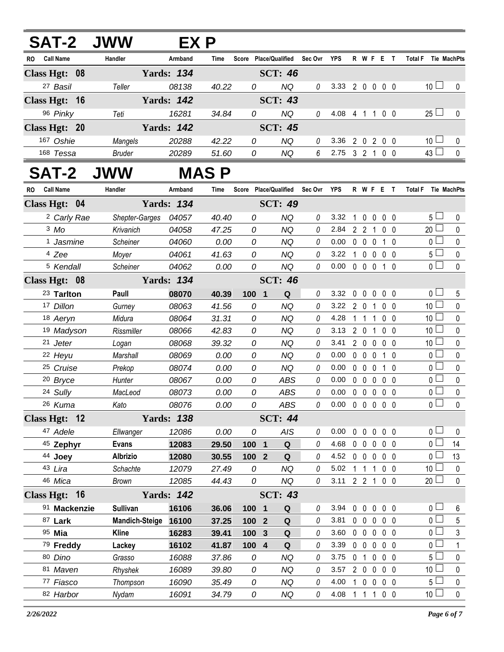|    |                        | <b>SAT-2 JWW</b>      | EX P              |       |                  |                       |                 |                            |                   |              |                  |                |                     |              |
|----|------------------------|-----------------------|-------------------|-------|------------------|-----------------------|-----------------|----------------------------|-------------------|--------------|------------------|----------------|---------------------|--------------|
| RO | <b>Call Name</b>       | Handler               | Armband           | Time  |                  | Score Place/Qualified | Sec Ovr         | YPS                        |                   |              | <b>R W F E T</b> |                | <b>Total F</b>      | Tie MachPts  |
|    | Class Hgt: 08          |                       | <b>Yards: 134</b> |       |                  | <b>SCT: 46</b>        |                 |                            |                   |              |                  |                |                     |              |
|    | 27 Basil               | Teller                | 08138             | 40.22 | 0                | <b>NQ</b>             | 0               | 3.33 2 0 0 0 0             |                   |              |                  |                | 10 <sup>1</sup>     | $\mathbf 0$  |
|    | Class Hgt: 16          |                       | <b>Yards: 142</b> |       |                  | <b>SCT: 43</b>        |                 |                            |                   |              |                  |                |                     |              |
|    | 96 Pinky               | Teti                  | 16281             | 34.84 | 0                | <b>NQ</b>             | 0               | 4.08 4 1 1 0 0             |                   |              |                  |                | $25 \Box$           | $\mathbf 0$  |
|    | Class Hgt: 20          |                       | <b>Yards: 142</b> |       |                  | <b>SCT: 45</b>        |                 |                            |                   |              |                  |                |                     |              |
|    | 167 Oshie              | Mangels               | 20288             | 42.22 | 0                | <b>NQ</b>             | 0               | 3.36                       |                   |              | 2 0 2 0 0        |                | 10 <sup>1</sup>     | $\mathbf 0$  |
|    | 168 Tessa              | <b>Bruder</b>         | 20289             | 51.60 | 0                | <b>NQ</b>             | $6\overline{6}$ | 2.75 3 2 1 0 0             |                   |              |                  |                | 43 <sup>L</sup>     | $\mathbf 0$  |
|    | <b>SAT-2</b>           | <b>JWW</b>            |                   | MAS P |                  |                       |                 |                            |                   |              |                  |                |                     |              |
| RO | <b>Call Name</b>       | Handler               | Armband           | Time  |                  | Score Place/Qualified | Sec Ovr         | <b>YPS</b>                 |                   |              | R W F E T        |                | Total F Tie MachPts |              |
|    | Class Hgt: 04          |                       | <b>Yards: 134</b> |       |                  | <b>SCT: 49</b>        |                 |                            |                   |              |                  |                |                     |              |
|    | <sup>2</sup> Carly Rae | <b>Shepter-Garges</b> | 04057             | 40.40 | 0                | <b>NQ</b>             | 0               | 3.32                       |                   |              | 1 0 0 0 0        |                | 5 <sub>1</sub>      | 0            |
|    | $3$ Mo                 | Krivanich             | 04058             | 47.25 | 0                | <b>NQ</b>             | 0               | 2.84 2 2 1                 |                   |              |                  | 0 <sub>0</sub> | $20 \Box$           | $\mathbf 0$  |
|    | <sup>1</sup> Jasmine   | Scheiner              | 04060             | 0.00  | 0                | NQ                    | 0               | 0.00                       | $0\quad 0\quad 0$ |              | 1 0              |                | 0 <sup>2</sup>      | $\pmb{0}$    |
|    | <sup>4</sup> Zee       | Moyer                 | 04061             | 41.63 | 0                | <b>NQ</b>             | 0               | 3.22                       |                   |              | 1 0 0 0 0        |                | 5 <sub>1</sub>      | $\pmb{0}$    |
|    | <sup>5</sup> Kendall   | Scheiner              | 04062             | 0.00  | 0                | <b>NQ</b>             | $\theta$        | $0.00 \t 0 \t 0 \t 0$      |                   |              | 1 0              |                | 0 L                 | $\mathbf 0$  |
|    | Class Hgt: 08          |                       | <b>Yards: 134</b> |       |                  | <b>SCT: 46</b>        |                 |                            |                   |              |                  |                |                     |              |
|    | 23 Tarlton             | Paull                 | 08070             | 40.39 | $100 1$          | Q                     | 0               | 3.32                       |                   |              | 00000            |                | 0 <sub>1</sub>      | 5            |
|    | 17 Dillon              | Gurney                | 08063             | 41.56 | 0                | <b>NQ</b>             | 0               | 3.22                       | 201               |              |                  | $0\quad 0$     | 10 <sup>1</sup>     | $\pmb{0}$    |
|    | 18 Aeryn               | Midura                | 08064             | 31.31 | 0                | <b>NQ</b>             | 0               | 4.28                       | 1 1 1             |              |                  | $0\quad 0$     | 10 <sup>1</sup>     | $\pmb{0}$    |
|    | 19 Madyson             | Rissmiller            | 08066             | 42.83 | 0                | <b>NQ</b>             | 0               | 3.13                       | 201               |              |                  | $0\quad 0$     | 10 <sup>2</sup>     | 0            |
|    | 21 Jeter               | Logan                 | 08068             | 39.32 | 0                | <b>NQ</b>             | 0               | 3.41                       |                   |              | 2 0 0 0 0        |                | 10 <sup>L</sup>     | $\pmb{0}$    |
|    | 22 Heyu                | Marshall              | 08069             | 0.00  | 0                | <b>NQ</b>             | 0               | 0.00                       | $0\quad 0\quad 0$ |              |                  | 1 0            | 0 <sub>0</sub>      | $\pmb{0}$    |
|    | 25 Cruise              | Prekop                | 08074             | 0.00  | 0                | <b>NQ</b>             | 0               | 0.00                       | $0\quad 0\quad 0$ |              |                  | 1 0            | 0 <sup>1</sup>      | $\mathbf 0$  |
|    | <sup>20</sup> Bryce    | Hunter                | 08067             | 0.00  | 0                | <b>ABS</b>            | 0               | 0.00                       | $0\quad 0$        | $\mathbf{0}$ |                  | 0 <sub>0</sub> | 0 <sub>0</sub>      | $\pmb{0}$    |
|    | 24 Sully               | MacLeod               | 08073             | 0.00  | 0                | <b>ABS</b>            | 0               | 0.00                       | $0\quad 0$        | $\mathbf 0$  |                  | 0 <sub>0</sub> | $\overline{0}$      | 0            |
|    | 26 Kuma                | Kato                  | 08076             | 0.00  | 0                | ABS                   | 0               | $0.00 \t0 \t0 \t0 \t0 \t0$ |                   |              |                  |                | 0 <sup>1</sup>      | 0            |
|    | Class Hgt: 12          |                       | <b>Yards: 138</b> |       |                  | <b>SCT: 44</b>        |                 |                            |                   |              |                  |                |                     |              |
|    | 47 Adele               | Ellwanger             | 12086             | 0.00  | 0                | <b>AIS</b>            | 0               | 0.00                       | $0\quad 0$        | $\mathbf 0$  |                  | $0\quad 0$     | 0 l                 | 0            |
|    | 45 Zephyr              | <b>Evans</b>          | 12083             | 29.50 | 100 1            | Q                     | 0               | 4.68                       | $0\quad 0$        | $\mathbf 0$  |                  | 0 <sub>0</sub> | 0 l                 | 14           |
|    | 44 Joey                | <b>Albrizio</b>       | 12080             | 30.55 | 100 <sub>2</sub> | Q                     | 0               | 4.52                       | $0\quad 0\quad 0$ |              |                  | $0\quad 0$     | 0 <sup>1</sup>      | 13           |
|    | 43 Lira                | Schachte              | 12079             | 27.49 | 0                | ΝQ                    | 0               | 5.02                       | $1\quad1$         | 1            |                  | $0\quad 0$     | 10 <sup>1</sup>     | 0            |
|    | 46 Mica                | Brown                 | 12085             | 44.43 | 0                | <b>NQ</b>             | 0               | 3.11                       | $2 \t2 \t1$       |              |                  | $0\quad 0$     | 20 <sup>1</sup>     | $\mathbf 0$  |
|    | Class Hgt: 16          |                       | <b>Yards: 142</b> |       |                  | <b>SCT: 43</b>        |                 |                            |                   |              |                  |                |                     |              |
|    | 91 Mackenzie           | <b>Sullivan</b>       | 16106             | 36.06 | 100 1            | Q                     | 0               | 3.94                       |                   |              | 00000            |                | 0 <sub>0</sub>      | 6            |
|    | 87 Lark                | <b>Mandich-Steige</b> | 16100             | 37.25 | 100 <sub>2</sub> | Q                     | 0               | 3.81                       | $0\quad 0\quad 0$ |              |                  | $0\quad 0$     | 0 <sup>2</sup>      | 5            |
|    | 95 Mia                 | <b>Kline</b>          | 16283             | 39.41 | 100 3            | Q                     | 0               | 3.60                       | $0\quad 0$        | $\mathbf 0$  |                  | 0 <sub>0</sub> | 0 l                 | 3            |
|    | 79 Freddy              | Lackey                | 16102             | 41.87 | 100 4            | Q                     | 0               | 3.39                       | $0\quad 0\quad 0$ |              |                  | $0\quad 0$     | 0 <sub>0</sub>      | $\mathbf{1}$ |
|    | 80 Dino                | Grasso                | 16088             | 37.86 | 0                | NQ                    | 0               | 3.75                       | $0$ 1 $0$         |              |                  | $0\quad 0$     | 5 <sup>1</sup>      | 0            |
|    | 81 Maven               | Rhyshek               | 16089             | 39.80 | 0                | <b>NQ</b>             | 0               | 3.57                       | 200               |              |                  | $0\quad 0$     | 10 <sup>1</sup>     | 0            |
|    | 77 Fiasco              | Thompson              | 16090             | 35.49 | 0                | <b>NQ</b>             | 0               | 4.00                       | 1 0               | $\mathbf 0$  |                  | 0 <sub>0</sub> | 5 <sup>1</sup>      | 0            |
|    | 82 Harbor              | Nydam                 | 16091             | 34.79 | 0                | NQ                    | 0               | 4.08 1 1 1 0 0             |                   |              |                  |                | 10 <sup>1</sup>     | $\mathbf 0$  |